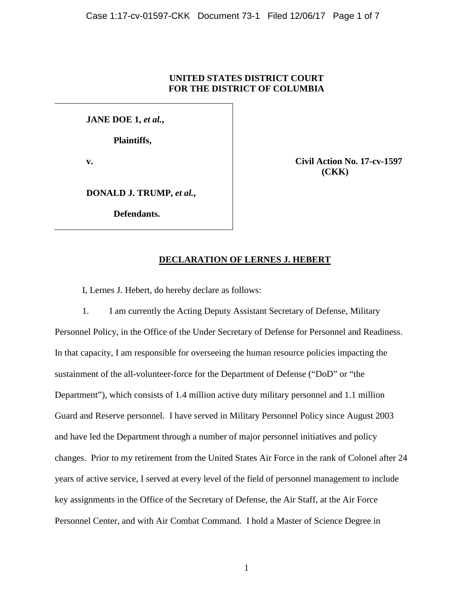# **UNITED STATES DISTRICT COURT FOR THE DISTRICT OF COLUMBIA**

**JANE DOE 1,** *et al.***,**

**Plaintiffs,**

**v. Civil Action No. 17-cv-1597 (CKK)**

**DONALD J. TRUMP,** *et al.***,**

**Defendants.**

# **DECLARATION OF LERNES J. HEBERT**

I, Lernes J. Hebert, do hereby declare as follows:

1. I am currently the Acting Deputy Assistant Secretary of Defense, Military Personnel Policy, in the Office of the Under Secretary of Defense for Personnel and Readiness. In that capacity, I am responsible for overseeing the human resource policies impacting the sustainment of the all-volunteer-force for the Department of Defense ("DoD" or "the Department"), which consists of 1.4 million active duty military personnel and 1.1 million Guard and Reserve personnel. I have served in Military Personnel Policy since August 2003 and have led the Department through a number of major personnel initiatives and policy changes. Prior to my retirement from the United States Air Force in the rank of Colonel after 24 years of active service, I served at every level of the field of personnel management to include key assignments in the Office of the Secretary of Defense, the Air Staff, at the Air Force Personnel Center, and with Air Combat Command. I hold a Master of Science Degree in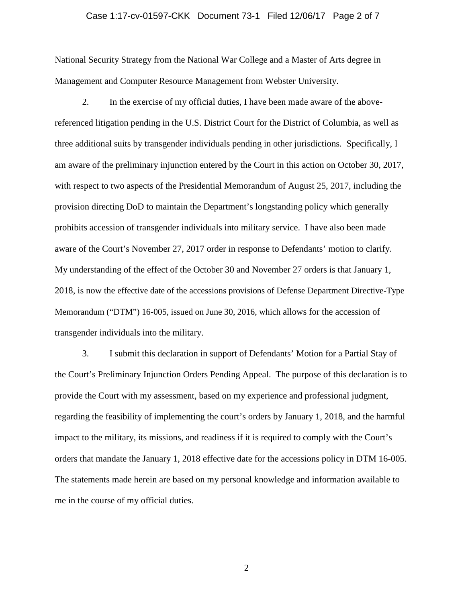# Case 1:17-cv-01597-CKK Document 73-1 Filed 12/06/17 Page 2 of 7

National Security Strategy from the National War College and a Master of Arts degree in Management and Computer Resource Management from Webster University.

2. In the exercise of my official duties, I have been made aware of the abovereferenced litigation pending in the U.S. District Court for the District of Columbia, as well as three additional suits by transgender individuals pending in other jurisdictions. Specifically, I am aware of the preliminary injunction entered by the Court in this action on October 30, 2017, with respect to two aspects of the Presidential Memorandum of August 25, 2017, including the provision directing DoD to maintain the Department's longstanding policy which generally prohibits accession of transgender individuals into military service. I have also been made aware of the Court's November 27, 2017 order in response to Defendants' motion to clarify. My understanding of the effect of the October 30 and November 27 orders is that January 1, 2018, is now the effective date of the accessions provisions of Defense Department Directive-Type Memorandum ("DTM") 16-005, issued on June 30, 2016, which allows for the accession of transgender individuals into the military.

3. I submit this declaration in support of Defendants' Motion for a Partial Stay of the Court's Preliminary Injunction Orders Pending Appeal. The purpose of this declaration is to provide the Court with my assessment, based on my experience and professional judgment, regarding the feasibility of implementing the court's orders by January 1, 2018, and the harmful impact to the military, its missions, and readiness if it is required to comply with the Court's orders that mandate the January 1, 2018 effective date for the accessions policy in DTM 16-005. The statements made herein are based on my personal knowledge and information available to me in the course of my official duties.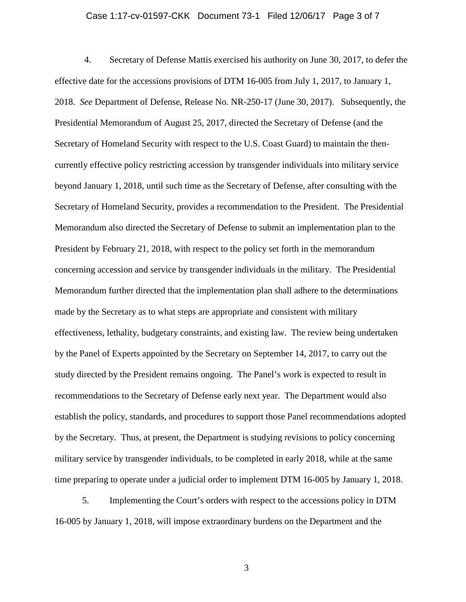#### Case 1:17-cv-01597-CKK Document 73-1 Filed 12/06/17 Page 3 of 7

4. Secretary of Defense Mattis exercised his authority on June 30, 2017, to defer the effective date for the accessions provisions of DTM 16-005 from July 1, 2017, to January 1, 2018. *See* Department of Defense, Release No. NR-250-17 (June 30, 2017). Subsequently, the Presidential Memorandum of August 25, 2017, directed the Secretary of Defense (and the Secretary of Homeland Security with respect to the U.S. Coast Guard) to maintain the thencurrently effective policy restricting accession by transgender individuals into military service beyond January 1, 2018, until such time as the Secretary of Defense, after consulting with the Secretary of Homeland Security, provides a recommendation to the President. The Presidential Memorandum also directed the Secretary of Defense to submit an implementation plan to the President by February 21, 2018, with respect to the policy set forth in the memorandum concerning accession and service by transgender individuals in the military. The Presidential Memorandum further directed that the implementation plan shall adhere to the determinations made by the Secretary as to what steps are appropriate and consistent with military effectiveness, lethality, budgetary constraints, and existing law. The review being undertaken by the Panel of Experts appointed by the Secretary on September 14, 2017, to carry out the study directed by the President remains ongoing. The Panel's work is expected to result in recommendations to the Secretary of Defense early next year. The Department would also establish the policy, standards, and procedures to support those Panel recommendations adopted by the Secretary. Thus, at present, the Department is studying revisions to policy concerning military service by transgender individuals, to be completed in early 2018, while at the same time preparing to operate under a judicial order to implement DTM 16-005 by January 1, 2018.

5. Implementing the Court's orders with respect to the accessions policy in DTM 16-005 by January 1, 2018, will impose extraordinary burdens on the Department and the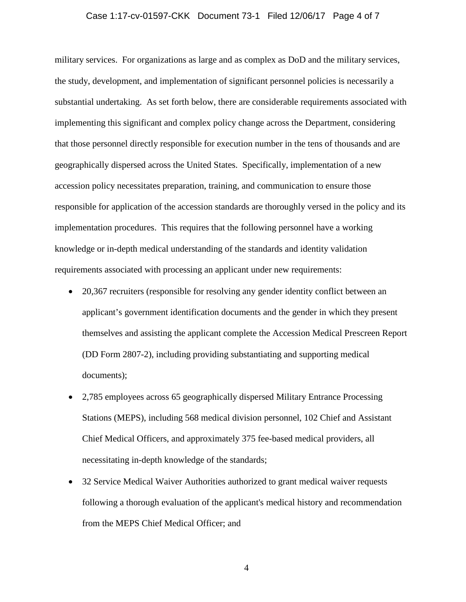# Case 1:17-cv-01597-CKK Document 73-1 Filed 12/06/17 Page 4 of 7

military services. For organizations as large and as complex as DoD and the military services, the study, development, and implementation of significant personnel policies is necessarily a substantial undertaking. As set forth below, there are considerable requirements associated with implementing this significant and complex policy change across the Department, considering that those personnel directly responsible for execution number in the tens of thousands and are geographically dispersed across the United States. Specifically, implementation of a new accession policy necessitates preparation, training, and communication to ensure those responsible for application of the accession standards are thoroughly versed in the policy and its implementation procedures. This requires that the following personnel have a working knowledge or in-depth medical understanding of the standards and identity validation requirements associated with processing an applicant under new requirements:

- 20,367 recruiters (responsible for resolving any gender identity conflict between an applicant's government identification documents and the gender in which they present themselves and assisting the applicant complete the Accession Medical Prescreen Report (DD Form 2807-2), including providing substantiating and supporting medical documents);
- 2,785 employees across 65 geographically dispersed Military Entrance Processing Stations (MEPS), including 568 medical division personnel, 102 Chief and Assistant Chief Medical Officers, and approximately 375 fee-based medical providers, all necessitating in-depth knowledge of the standards;
- 32 Service Medical Waiver Authorities authorized to grant medical waiver requests following a thorough evaluation of the applicant's medical history and recommendation from the MEPS Chief Medical Officer; and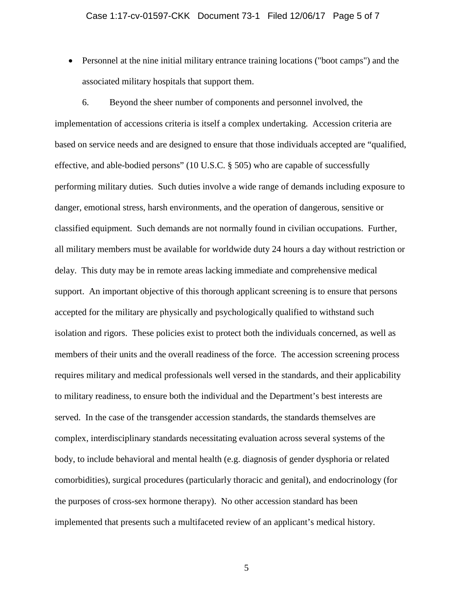• Personnel at the nine initial military entrance training locations ("boot camps") and the associated military hospitals that support them.

6. Beyond the sheer number of components and personnel involved, the implementation of accessions criteria is itself a complex undertaking. Accession criteria are based on service needs and are designed to ensure that those individuals accepted are "qualified, effective, and able-bodied persons" (10 U.S.C. § 505) who are capable of successfully performing military duties. Such duties involve a wide range of demands including exposure to danger, emotional stress, harsh environments, and the operation of dangerous, sensitive or classified equipment. Such demands are not normally found in civilian occupations. Further, all military members must be available for worldwide duty 24 hours a day without restriction or delay. This duty may be in remote areas lacking immediate and comprehensive medical support. An important objective of this thorough applicant screening is to ensure that persons accepted for the military are physically and psychologically qualified to withstand such isolation and rigors. These policies exist to protect both the individuals concerned, as well as members of their units and the overall readiness of the force. The accession screening process requires military and medical professionals well versed in the standards, and their applicability to military readiness, to ensure both the individual and the Department's best interests are served. In the case of the transgender accession standards, the standards themselves are complex, interdisciplinary standards necessitating evaluation across several systems of the body, to include behavioral and mental health (e.g. diagnosis of gender dysphoria or related comorbidities), surgical procedures (particularly thoracic and genital), and endocrinology (for the purposes of cross-sex hormone therapy). No other accession standard has been implemented that presents such a multifaceted review of an applicant's medical history.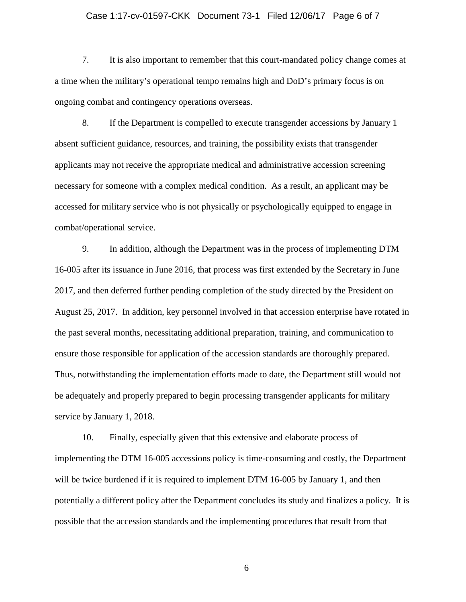# Case 1:17-cv-01597-CKK Document 73-1 Filed 12/06/17 Page 6 of 7

7. It is also important to remember that this court-mandated policy change comes at a time when the military's operational tempo remains high and DoD's primary focus is on ongoing combat and contingency operations overseas.

8. If the Department is compelled to execute transgender accessions by January 1 absent sufficient guidance, resources, and training, the possibility exists that transgender applicants may not receive the appropriate medical and administrative accession screening necessary for someone with a complex medical condition. As a result, an applicant may be accessed for military service who is not physically or psychologically equipped to engage in combat/operational service.

9. In addition, although the Department was in the process of implementing DTM 16-005 after its issuance in June 2016, that process was first extended by the Secretary in June 2017, and then deferred further pending completion of the study directed by the President on August 25, 2017. In addition, key personnel involved in that accession enterprise have rotated in the past several months, necessitating additional preparation, training, and communication to ensure those responsible for application of the accession standards are thoroughly prepared. Thus, notwithstanding the implementation efforts made to date, the Department still would not be adequately and properly prepared to begin processing transgender applicants for military service by January 1, 2018.

10. Finally, especially given that this extensive and elaborate process of implementing the DTM 16-005 accessions policy is time-consuming and costly, the Department will be twice burdened if it is required to implement DTM 16-005 by January 1, and then potentially a different policy after the Department concludes its study and finalizes a policy. It is possible that the accession standards and the implementing procedures that result from that